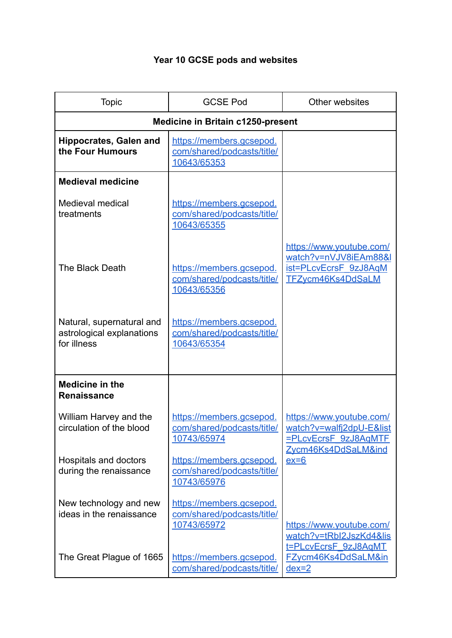## **Year 10 GCSE pods and websites**

| <b>Topic</b>                                                          | <b>GCSE Pod</b>                                                       | Other websites                                                                                             |  |  |
|-----------------------------------------------------------------------|-----------------------------------------------------------------------|------------------------------------------------------------------------------------------------------------|--|--|
| <b>Medicine in Britain c1250-present</b>                              |                                                                       |                                                                                                            |  |  |
| <b>Hippocrates, Galen and</b><br>the Four Humours                     | https://members.gcsepod.<br>com/shared/podcasts/title/<br>10643/65353 |                                                                                                            |  |  |
| <b>Medieval medicine</b>                                              |                                                                       |                                                                                                            |  |  |
| Medieval medical<br>treatments                                        | https://members.gcsepod.<br>com/shared/podcasts/title/<br>10643/65355 |                                                                                                            |  |  |
| The Black Death                                                       | https://members.gcsepod.<br>com/shared/podcasts/title/<br>10643/65356 | https://www.youtube.com/<br>watch?v=nVJV8iEAm88&I<br>ist=PLcvEcrsF 9zJ8AqM<br>TFZycm46Ks4DdSaLM            |  |  |
| Natural, supernatural and<br>astrological explanations<br>for illness | https://members.gcsepod.<br>com/shared/podcasts/title/<br>10643/65354 |                                                                                                            |  |  |
| <b>Medicine in the</b><br><b>Renaissance</b>                          |                                                                       |                                                                                                            |  |  |
| William Harvey and the<br>circulation of the blood                    | https://members.gcsepod.<br>com/shared/podcasts/title/<br>10743/65974 | https://www.youtube.com/<br>watch?v=walfj2dpU-E&list<br><b>=PLcvEcrsF 9zJ8AqMTF</b><br>Zycm46Ks4DdSaLM&ind |  |  |
| Hospitals and doctors<br>during the renaissance                       | https://members.gcsepod.<br>com/shared/podcasts/title/<br>10743/65976 | $ex=6$                                                                                                     |  |  |
| New technology and new<br>ideas in the renaissance                    | https://members.gcsepod.<br>com/shared/podcasts/title/<br>10743/65972 | https://www.youtube.com/<br>watch?v=tRbI2JszKd4&lis                                                        |  |  |
| The Great Plague of 1665                                              | https://members.gcsepod.<br>com/shared/podcasts/title/                | t=PLcvEcrsF 9zJ8AqMT<br>FZycm46Ks4DdSaLM∈<br>$dex=2$                                                       |  |  |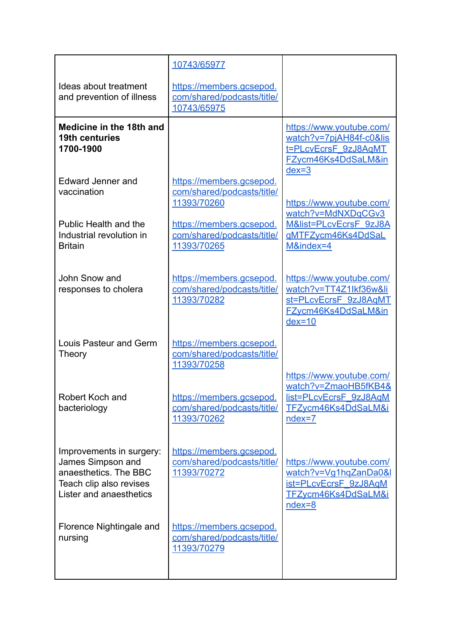|                                                                                                                              | 10743/65977                                                           |                                                                                                                     |
|------------------------------------------------------------------------------------------------------------------------------|-----------------------------------------------------------------------|---------------------------------------------------------------------------------------------------------------------|
| Ideas about treatment<br>and prevention of illness                                                                           | https://members.gcsepod.<br>com/shared/podcasts/title/<br>10743/65975 |                                                                                                                     |
| Medicine in the 18th and<br>19th centuries<br>1700-1900                                                                      |                                                                       | https://www.youtube.com/<br>watch?v=7pjAH84f-c0&lis<br>t=PLcvEcrsF 9zJ8AqMT<br>FZycm46Ks4DdSaLM∈<br>$dex=3$         |
| Edward Jenner and<br>vaccination                                                                                             | https://members.gcsepod.<br>com/shared/podcasts/title/<br>11393/70260 | https://www.youtube.com/<br>watch?v=MdNXDqCGv3                                                                      |
| Public Health and the<br>Industrial revolution in<br><b>Britain</b>                                                          | https://members.gcsepod.<br>com/shared/podcasts/title/<br>11393/70265 | M&list=PLcvEcrsF 9zJ8A<br><u>gMTFZycm46Ks4DdSaL</u><br>M&index=4                                                    |
| John Snow and<br>responses to cholera                                                                                        | https://members.gcsepod.<br>com/shared/podcasts/title/<br>11393/70282 | https://www.youtube.com/<br>watch?v=TT4Z1lkf36w&li<br>st=PLcvEcrsF 9zJ8AqMT<br><b>FZycm46Ks4DdSaLM∈</b><br>$dex=10$ |
| Louis Pasteur and Germ<br>Theory                                                                                             | https://members.gcsepod.<br>com/shared/podcasts/title/<br>11393/70258 |                                                                                                                     |
| Robert Koch and<br>bacteriology                                                                                              | https://members.gcsepod.<br>com/shared/podcasts/title/<br>11393/70262 | https://www.youtube.com/<br>watch?v=ZmaoHB5fKB4&<br>list=PLcvEcrsF_9zJ8AqM<br>TFZycm46Ks4DdSaLM&i<br>ndex=7         |
| Improvements in surgery:<br>James Simpson and<br>anaesthetics. The BBC<br>Teach clip also revises<br>Lister and anaesthetics | https://members.gcsepod.<br>com/shared/podcasts/title/<br>11393/70272 | https://www.youtube.com/<br>watch?v=Vg1hqZanDa0&l<br>ist=PLcvEcrsF 9zJ8AqM<br>TFZycm46Ks4DdSaLM&i<br>$ndex=8$       |
| Florence Nightingale and<br>nursing                                                                                          | https://members.gcsepod.<br>com/shared/podcasts/title/<br>11393/70279 |                                                                                                                     |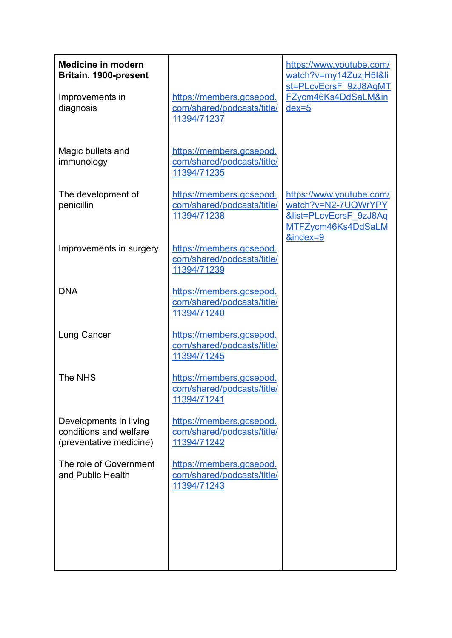| <b>Medicine in modern</b><br>Britain. 1900-present                          |                                                                       | https://www.youtube.com/<br>watch?v=my14ZuzjH5l&li<br>st=PLcvEcrsF 9zJ8AqMT                                            |
|-----------------------------------------------------------------------------|-----------------------------------------------------------------------|------------------------------------------------------------------------------------------------------------------------|
| Improvements in<br>diagnosis                                                | https://members.gcsepod.<br>com/shared/podcasts/title/<br>11394/71237 | FZycm46Ks4DdSaLM∈<br>$dex=5$                                                                                           |
| Magic bullets and<br>immunology                                             | https://members.gcsepod.<br>com/shared/podcasts/title/<br>11394/71235 |                                                                                                                        |
| The development of<br>penicillin                                            | https://members.gcsepod.<br>com/shared/podcasts/title/<br>11394/71238 | https://www.youtube.com/<br>watch?v=N2-7UQWrYPY<br><b>&amp;list=PLcvEcrsF 9zJ8Aq</b><br>MTFZycm46Ks4DdSaLM<br>&index=9 |
| Improvements in surgery                                                     | https://members.gcsepod.<br>com/shared/podcasts/title/<br>11394/71239 |                                                                                                                        |
| <b>DNA</b>                                                                  | https://members.gcsepod.<br>com/shared/podcasts/title/<br>11394/71240 |                                                                                                                        |
| Lung Cancer                                                                 | https://members.gcsepod.<br>com/shared/podcasts/title/<br>11394/71245 |                                                                                                                        |
| The NHS                                                                     | https://members.gcsepod.<br>com/shared/podcasts/title/<br>11394/71241 |                                                                                                                        |
| Developments in living<br>conditions and welfare<br>(preventative medicine) | https://members.gcsepod.<br>com/shared/podcasts/title/<br>11394/71242 |                                                                                                                        |
| The role of Government<br>and Public Health                                 | https://members.gcsepod.<br>com/shared/podcasts/title/<br>11394/71243 |                                                                                                                        |
|                                                                             |                                                                       |                                                                                                                        |